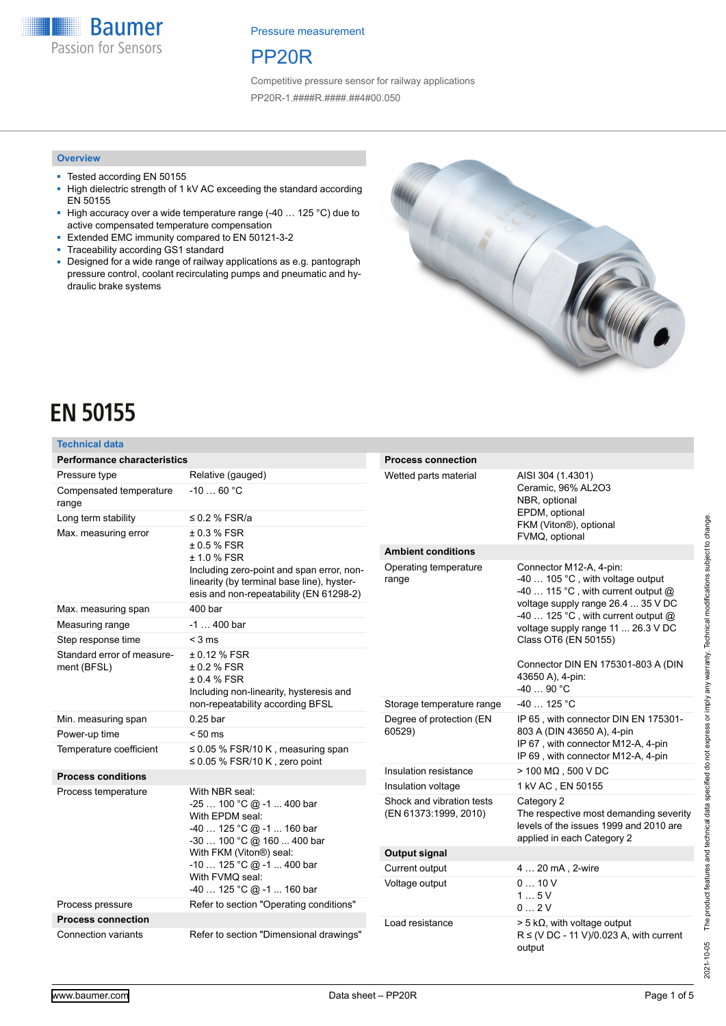**Baumer** Passion for Sensors

Pressure measurement

# PP20R

Competitive pressure sensor for railway applications PP20R-1.####R.####.##4#00.050

#### **Overview**

- Tested according EN 50155<br>■ High dielectric strength of 1
- High dielectric strength of 1 kV AC exceeding the standard according EN 50155
- High accuracy over a wide temperature range (-40 ... 125 °C) due to active compensated temperature compensation
- Extended EMC immunity compared to EN 50121-3-2
- Traceability according GS1 standard
- Designed for a wide range of railway applications as e.g. pantograph pressure control, coolant recirculating pumps and pneumatic and hydraulic brake systems



# **EN 50155**

#### **Technical data**

| <b>Performance characteristics</b>                             |                                                                                                                                    | <b>Process connection</b>                          |                                                                                                                              |
|----------------------------------------------------------------|------------------------------------------------------------------------------------------------------------------------------------|----------------------------------------------------|------------------------------------------------------------------------------------------------------------------------------|
| Pressure type                                                  | Relative (gauged)                                                                                                                  | Wetted parts material                              | AISI 304 (1.4301)                                                                                                            |
| Compensated temperature<br>range                               | $-1060 °C$                                                                                                                         |                                                    | Ceramic, 96% AL2O3<br>NBR, optional                                                                                          |
| Long term stability                                            | $\leq$ 0.2 % FSR/a                                                                                                                 |                                                    | EPDM, optional<br>FKM (Viton®), optional                                                                                     |
| Max. measuring error                                           | $±0.3%$ FSR                                                                                                                        |                                                    | FVMQ, optional                                                                                                               |
|                                                                | $±0.5%$ FSR<br>± 1.0 % FSR                                                                                                         | <b>Ambient conditions</b>                          |                                                                                                                              |
|                                                                | Including zero-point and span error, non-<br>linearity (by terminal base line), hyster-<br>esis and non-repeatability (EN 61298-2) | Operating temperature<br>range                     | Connector M12-A, 4-pin:<br>-40  105 °C, with voltage output<br>-40  115 °C, with current output @                            |
| Max. measuring span                                            | 400 bar                                                                                                                            |                                                    | voltage supply range 26.4  35 V DC<br>-40  125 °C, with current output @                                                     |
| Measuring range                                                | $-1400$ bar                                                                                                                        |                                                    | voltage supply range 11  26.3 V DC                                                                                           |
| Step response time                                             | $<$ 3 ms                                                                                                                           |                                                    | Class OT6 (EN 50155)                                                                                                         |
| Standard error of measure-<br>ment (BFSL)                      | ± 0.12 % FSR<br>± 0.2 % FSR<br>± 0.4 % FSR<br>Including non-linearity, hysteresis and                                              |                                                    | Connector DIN EN 175301-803 A (DIN<br>43650 A), 4-pin:<br>-40  90 °C                                                         |
|                                                                | non-repeatability according BFSL                                                                                                   | Storage temperature range                          | $-40$ 125 °C                                                                                                                 |
| Min. measuring span                                            | $0.25$ bar                                                                                                                         | Degree of protection (EN                           | IP 65, with connector DIN EN 175301-                                                                                         |
| Power-up time                                                  | $< 50$ ms                                                                                                                          | 60529)                                             | 803 A (DIN 43650 A), 4-pin                                                                                                   |
| Temperature coefficient                                        | $\leq$ 0.05 % FSR/10 K, measuring span<br>$\leq$ 0.05 % FSR/10 K, zero point                                                       |                                                    | IP 67, with connector M12-A, 4-pin<br>IP 69, with connector M12-A, 4-pin                                                     |
| <b>Process conditions</b>                                      |                                                                                                                                    | Insulation resistance                              | $>$ 100 M $\Omega$ , 500 V DC                                                                                                |
| Process temperature                                            | With NBR seal:                                                                                                                     | Insulation voltage                                 | 1 kV AC, EN 50155                                                                                                            |
|                                                                | $-25100 °C @ -1400$ bar<br>With EPDM seal:<br>$-40$ 125 °C @ $-1$ 160 bar<br>-30  100 °C @ 160  400 bar                            | Shock and vibration tests<br>(EN 61373:1999, 2010) | Category 2<br>The respective most demanding severity<br>levels of the issues 1999 and 2010 are<br>applied in each Category 2 |
|                                                                | With FKM (Viton®) seal:                                                                                                            | <b>Output signal</b>                               |                                                                                                                              |
|                                                                | $-10125$ °C @ $-1400$ bar                                                                                                          | Current output                                     | 4  20 mA, 2-wire                                                                                                             |
|                                                                | With FVMQ seal:<br>$-40125$ °C @ $-1160$ bar                                                                                       | Voltage output                                     | 010V                                                                                                                         |
| Refer to section "Operating conditions"<br>Process pressure    |                                                                                                                                    |                                                    | 15V<br>02V                                                                                                                   |
| <b>Process connection</b>                                      |                                                                                                                                    | Load resistance                                    | $>$ 5 k $\Omega$ , with voltage output                                                                                       |
| Connection variants<br>Refer to section "Dimensional drawings" |                                                                                                                                    |                                                    | $R \le (VDC - 11 V)/0.023 A$ , with current<br>output                                                                        |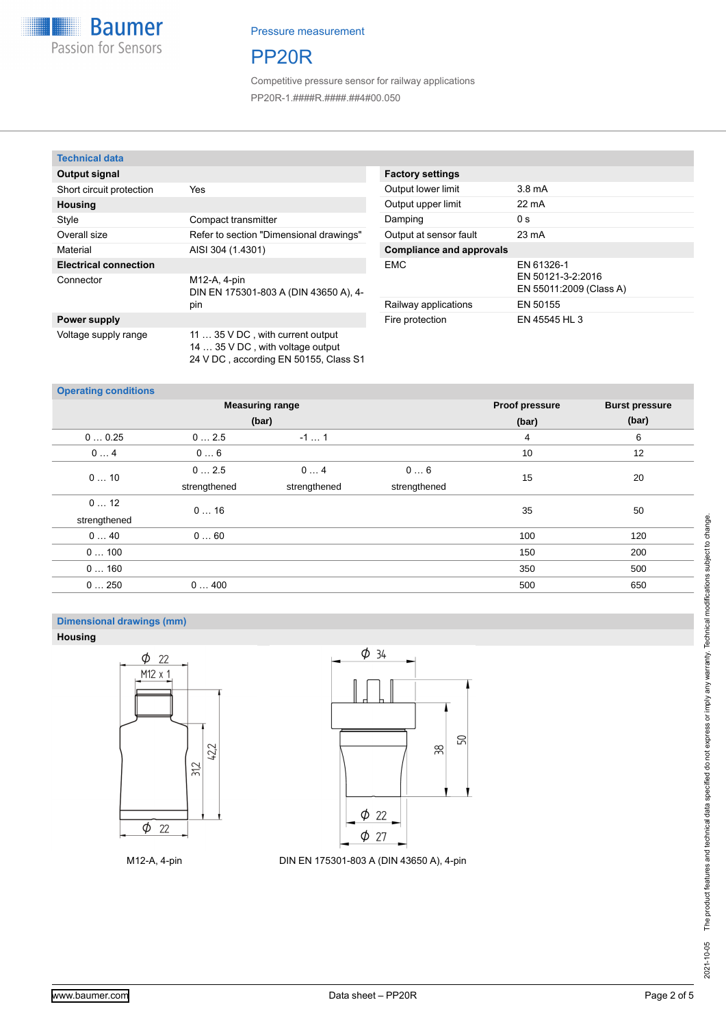

# PP20R

Competitive pressure sensor for railway applications PP20R-1.####R.####.##4#00.050

#### **Technical data**

| Output signal                |                                                                                                               |
|------------------------------|---------------------------------------------------------------------------------------------------------------|
| Short circuit protection     | Yes                                                                                                           |
| <b>Housing</b>               |                                                                                                               |
| Style                        | Compact transmitter                                                                                           |
| Overall size                 | Refer to section "Dimensional drawings"                                                                       |
| Material                     | AISI 304 (1.4301)                                                                                             |
| <b>Electrical connection</b> |                                                                                                               |
| Connector                    | M12-A, 4-pin<br>DIN EN 175301-803 A (DIN 43650 A), 4-<br>pin                                                  |
| Power supply                 |                                                                                                               |
| Voltage supply range         | 11  35 V DC, with current output<br>14  35 V DC, with voltage output<br>24 V DC, according EN 50155, Class S1 |

#### **Factory settings** Output lower limit 3.8 mA Output upper limit 22 mA Damping 0 s Output at sensor fault 23 mA **Compliance and approvals** EMC EN 61326-1 EN 50121-3-2:2016 EN 55011:2009 (Class A) Railway applications EN 50155 Fire protection EN 45545 HL 3

#### **Operating conditions**

|              | <b>Measuring range</b> | <b>Proof pressure</b> | <b>Burst pressure</b> |     |     |
|--------------|------------------------|-----------------------|-----------------------|-----|-----|
|              | (bar)                  | (bar)                 | (bar)                 |     |     |
| 00.25        | 02.5                   | $-11$                 |                       | 4   | 6   |
| 04           | 06                     |                       |                       | 10  | 12  |
| 010          | 02.5                   | 04                    | 06                    | 15  | 20  |
|              | strengthened           | strengthened          | strengthened          |     |     |
| 012          | 016                    |                       |                       | 35  | 50  |
| strengthened |                        |                       |                       |     |     |
| 040          | 060                    |                       |                       | 100 | 120 |
| 0100         |                        |                       |                       | 150 | 200 |
| 0160         |                        |                       |                       | 350 | 500 |
| 0250         | 0400                   |                       |                       | 500 | 650 |

### **Dimensional drawings (mm)**

**Housing**





M12-A, 4-pin DIN EN 175301-803 A (DIN 43650 A), 4-pin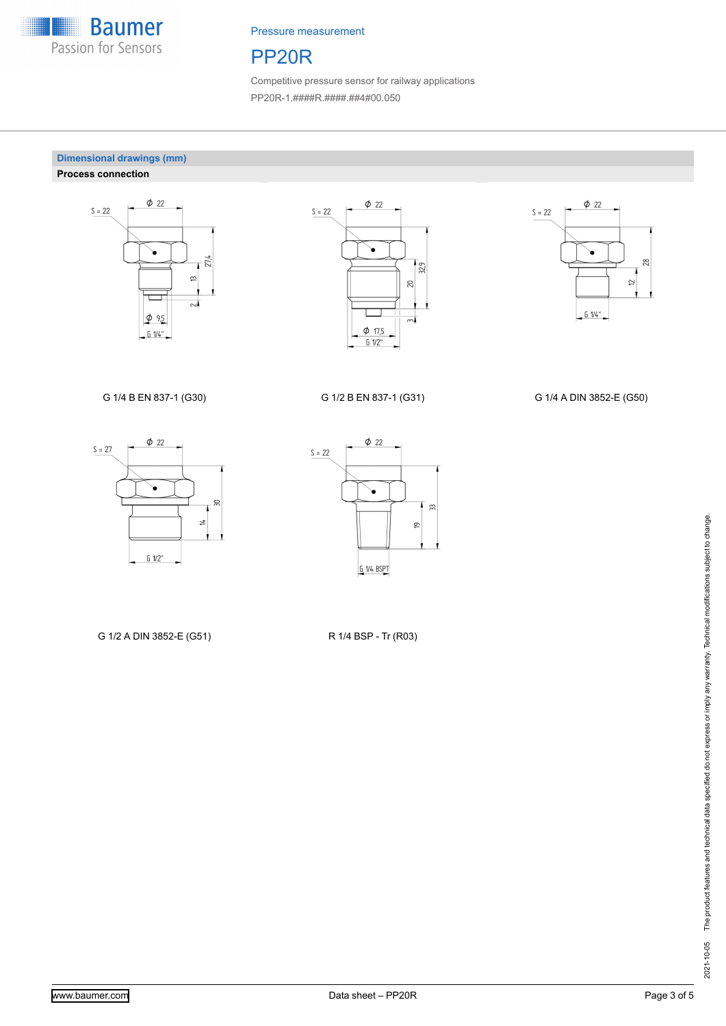

# PP20R

Competitive pressure sensor for railway applications PP20R-1.####R.####.##4#00.050

#### **Dimensional drawings (mm) Process connection**







G 1/4 B EN 837-1 (G30) G 1/2 B EN 837-1 (G31) G 1/4 A DIN 3852-E (G50)





G 1/2 A DIN 3852-E (G51) R 1/4 BSP - Tr (R03)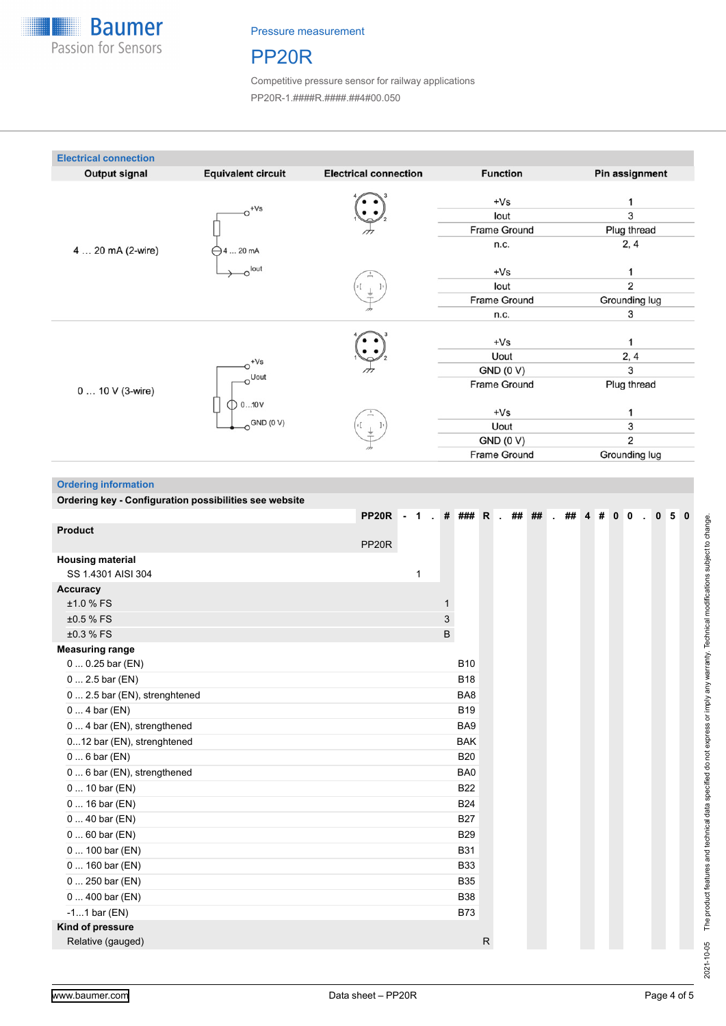

# PP20R

Competitive pressure sensor for railway applications PP20R-1.####R.####.##4#00.050

| <b>Electrical connection</b> |                                   |                              |                                                          |                          |
|------------------------------|-----------------------------------|------------------------------|----------------------------------------------------------|--------------------------|
| <b>Output signal</b>         | <b>Equivalent circuit</b>         | <b>Electrical connection</b> | <b>Function</b>                                          | Pin assignment           |
| 4  20 mA (2-wire)            | $+Vs$<br>$\bigominus$ 4  20 mA    |                              | $+Vs$<br>lout<br><b>Frame Ground</b><br>n.c.             | 3<br>Plug thread<br>2, 4 |
|                              | $\circ$ lout                      |                              | $+Vs$<br>lout<br><b>Frame Ground</b><br>n.c.             | 2<br>Grounding lug<br>3  |
| 0  10 V (3-wire)             | $+Vs$<br><b>Uout</b>              |                              | $+Vs$<br>Uout<br><b>GND (0 V)</b><br><b>Frame Ground</b> | 2, 4<br>3<br>Plug thread |
|                              | $\bigcirc$ 010 V<br>$O$ GND (0 V) | $\frac{2}{3}$                | $+Vs$<br>Uout<br>GND(0 V)<br><b>Frame Ground</b>         | 3<br>2<br>Grounding lug  |

**Ordering information**

**Ordering key - Configuration possibilities see website**

| <u>ordoring koy - ooringuruuon possibilittos see mebsite</u> |                   |      |   |            |              |                   |                             |          |  |                |                |    |  |
|--------------------------------------------------------------|-------------------|------|---|------------|--------------|-------------------|-----------------------------|----------|--|----------------|----------------|----|--|
|                                                              | PP <sub>20R</sub> | $-1$ |   |            |              | . # ### R . ## ## | $\mathcal{L}^{\mathcal{L}}$ | ## $4$ # |  | 0 <sub>0</sub> | $\overline{0}$ | 50 |  |
| <b>Product</b>                                               |                   |      |   |            |              |                   |                             |          |  |                |                |    |  |
|                                                              | PP <sub>20R</sub> |      |   |            |              |                   |                             |          |  |                |                |    |  |
| <b>Housing material</b>                                      |                   |      |   |            |              |                   |                             |          |  |                |                |    |  |
| SS 1.4301 AISI 304                                           |                   | 1    |   |            |              |                   |                             |          |  |                |                |    |  |
| <b>Accuracy</b>                                              |                   |      |   |            |              |                   |                             |          |  |                |                |    |  |
| ±1.0 % FS                                                    |                   |      | 1 |            |              |                   |                             |          |  |                |                |    |  |
| ±0.5 % FS                                                    |                   |      | 3 |            |              |                   |                             |          |  |                |                |    |  |
| ±0.3 % FS                                                    |                   |      | B |            |              |                   |                             |          |  |                |                |    |  |
| <b>Measuring range</b>                                       |                   |      |   |            |              |                   |                             |          |  |                |                |    |  |
| $00.25$ bar (EN)                                             |                   |      |   | <b>B10</b> |              |                   |                             |          |  |                |                |    |  |
| $0 2.5$ bar (EN)                                             |                   |      |   | <b>B18</b> |              |                   |                             |          |  |                |                |    |  |
| 0  2.5 bar (EN), strenghtened                                |                   |      |   | BA8        |              |                   |                             |          |  |                |                |    |  |
| $04$ bar (EN)                                                |                   |      |   | <b>B19</b> |              |                   |                             |          |  |                |                |    |  |
| 0  4 bar (EN), strengthened                                  |                   |      |   | BA9        |              |                   |                             |          |  |                |                |    |  |
| 012 bar (EN), strenghtened                                   |                   |      |   | <b>BAK</b> |              |                   |                             |          |  |                |                |    |  |
| $06$ bar (EN)                                                |                   |      |   | <b>B20</b> |              |                   |                             |          |  |                |                |    |  |
| 0  6 bar (EN), strengthened                                  |                   |      |   | BA0        |              |                   |                             |          |  |                |                |    |  |
| $0 10$ bar (EN)                                              |                   |      |   | <b>B22</b> |              |                   |                             |          |  |                |                |    |  |
| $0 16$ bar (EN)                                              |                   |      |   | <b>B24</b> |              |                   |                             |          |  |                |                |    |  |
| $040$ bar (EN)                                               |                   |      |   | <b>B27</b> |              |                   |                             |          |  |                |                |    |  |
| $060$ bar (EN)                                               |                   |      |   | <b>B29</b> |              |                   |                             |          |  |                |                |    |  |
| 0  100 bar (EN)                                              |                   |      |   | <b>B31</b> |              |                   |                             |          |  |                |                |    |  |
| $0 160$ bar (EN)                                             |                   |      |   | <b>B33</b> |              |                   |                             |          |  |                |                |    |  |
| 0  250 bar (EN)                                              |                   |      |   | <b>B35</b> |              |                   |                             |          |  |                |                |    |  |
| $0400$ bar (EN)                                              |                   |      |   | <b>B38</b> |              |                   |                             |          |  |                |                |    |  |
| $-11$ bar (EN)                                               |                   |      |   | <b>B73</b> |              |                   |                             |          |  |                |                |    |  |
| Kind of pressure                                             |                   |      |   |            |              |                   |                             |          |  |                |                |    |  |
| Relative (gauged)                                            |                   |      |   |            | $\mathsf{R}$ |                   |                             |          |  |                |                |    |  |